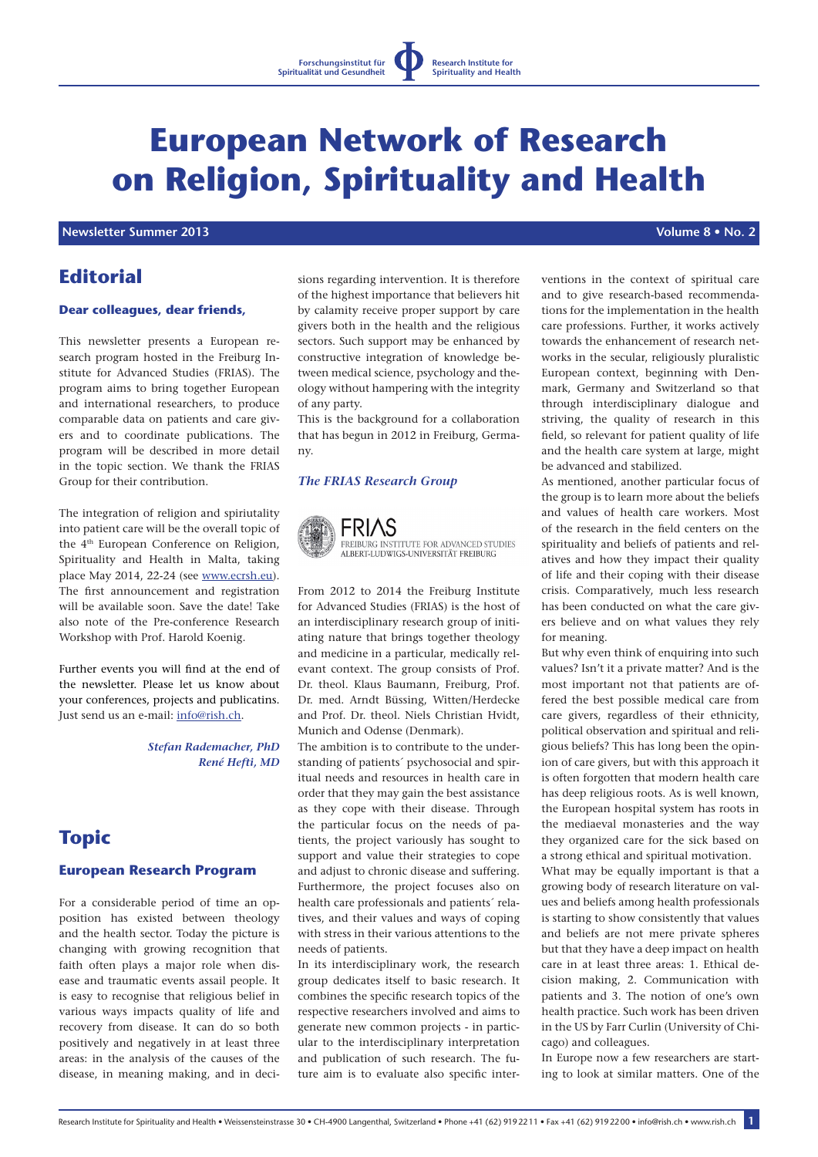# **European Network of Research on Religion, Spirituality and Health**

## **Newsletter Summer 2013 Volume 8 • No. 2**

# **Editorial**

#### **Dear colleagues, dear friends,**

This newsletter presents a European research program hosted in the Freiburg Institute for Advanced Studies (FRIAS). The program aims to bring together European and international researchers, to produce comparable data on patients and care givers and to coordinate publications. The program will be described in more detail in the topic section. We thank the FRIAS Group for their contribution.

The integration of religion and spiriutality into patient care will be the overall topic of the 4th European Conference on Religion, Spirituality and Health in Malta, taking place May 2014, 22-24 (see www.ecrsh.eu). The first announcement and registration will be available soon. Save the date! Take also note of the Pre-conference Research Workshop with Prof. Harold Koenig.

Further events you will find at the end of the newsletter. Please let us know about your conferences, projects and publicatins. Just send us an e-mail: info@rish.ch.

> *Stefan Rademacher, PhD René Hefti, MD*

# **Topic**

#### **European Research Program**

For a considerable period of time an opposition has existed between theology and the health sector. Today the picture is changing with growing recognition that faith often plays a major role when disease and traumatic events assail people. It is easy to recognise that religious belief in various ways impacts quality of life and recovery from disease. It can do so both positively and negatively in at least three areas: in the analysis of the causes of the disease, in meaning making, and in decisions regarding intervention. It is therefore of the highest importance that believers hit by calamity receive proper support by care givers both in the health and the religious sectors. Such support may be enhanced by constructive integration of knowledge between medical science, psychology and theology without hampering with the integrity of any party.

This is the background for a collaboration that has begun in 2012 in Freiburg, Germany.

## *The FRIAS Research Group*



FREIBURG INSTITUTE FOR ADVANCED STUDIES AI BERTJI UDWICSJUNIVERSITÄT EREIBURG

From 2012 to 2014 the Freiburg Institute for Advanced Studies (FRIAS) is the host of an interdisciplinary research group of initiating nature that brings together theology and medicine in a particular, medically relevant context. The group consists of Prof. Dr. theol. Klaus Baumann, Freiburg, Prof. Dr. med. Arndt Büssing, Witten/Herdecke and Prof. Dr. theol. Niels Christian Hvidt, Munich and Odense (Denmark).

The ambition is to contribute to the understanding of patients´ psychosocial and spiritual needs and resources in health care in order that they may gain the best assistance as they cope with their disease. Through the particular focus on the needs of patients, the project variously has sought to support and value their strategies to cope and adjust to chronic disease and suffering. Furthermore, the project focuses also on health care professionals and patients´ relatives, and their values and ways of coping with stress in their various attentions to the needs of patients.

In its interdisciplinary work, the research group dedicates itself to basic research. It combines the specific research topics of the respective researchers involved and aims to generate new common projects - in particular to the interdisciplinary interpretation and publication of such research. The future aim is to evaluate also specific interventions in the context of spiritual care and to give research-based recommendations for the implementation in the health care professions. Further, it works actively towards the enhancement of research networks in the secular, religiously pluralistic European context, beginning with Denmark, Germany and Switzerland so that through interdisciplinary dialogue and striving, the quality of research in this field, so relevant for patient quality of life and the health care system at large, might be advanced and stabilized.

As mentioned, another particular focus of the group is to learn more about the beliefs and values of health care workers. Most of the research in the field centers on the spirituality and beliefs of patients and relatives and how they impact their quality of life and their coping with their disease crisis. Comparatively, much less research has been conducted on what the care givers believe and on what values they rely for meaning.

But why even think of enquiring into such values? Isn't it a private matter? And is the most important not that patients are offered the best possible medical care from care givers, regardless of their ethnicity, political observation and spiritual and religious beliefs? This has long been the opinion of care givers, but with this approach it is often forgotten that modern health care has deep religious roots. As is well known, the European hospital system has roots in the mediaeval monasteries and the way they organized care for the sick based on a strong ethical and spiritual motivation. What may be equally important is that a growing body of research literature on values and beliefs among health professionals is starting to show consistently that values and beliefs are not mere private spheres but that they have a deep impact on health care in at least three areas: 1. Ethical decision making, 2. Communication with patients and 3. The notion of one's own health practice. Such work has been driven in the US by Farr Curlin (University of Chi-

In Europe now a few researchers are starting to look at similar matters. One of the

cago) and colleagues.